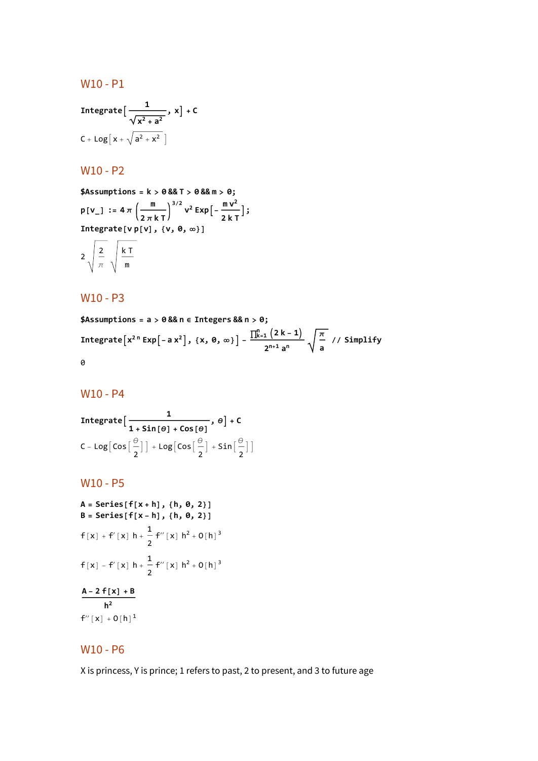#### W10 - P1

Integrate 
$$
\left[\frac{1}{\sqrt{x^2 + a^2}}, x\right] + C
$$
  
C + Log  $\left[x + \sqrt{a^2 + x^2}\right]$ 

# W10 - P2

**\$Assumptions = k > 0 && T > 0 && m > 0;**  $V^2$  **Exp** $\left[-\frac{m V^2}{2 k T}\right]$ ; **<sup>p</sup>[v\_] :<sup>=</sup> <sup>4</sup> <sup>π</sup> <sup>m</sup> 2 π k T Integrate[v p[v], {v, 0, ∞}]**  $\overline{a}$ 

$$
2\sqrt{\frac{2}{\pi}}\sqrt{\frac{kT}{m}}
$$

### W10 - P3

**\$Assumptions = a > 0 && n ∈ Integers && n > 0; Integrate** $\left[x^{2n} \text{Exp}\left[-a x^{2}\right], \{x, \theta, \infty\}\right] - \frac{\prod_{k=1}^{n} (2k-1)}{2}$ **2n+<sup>1</sup> a<sup>n</sup> π a // Simplify** 0

### W10 - P4

Integrate 
$$
\left[\frac{1}{1 + \text{Sin}[\theta] + \text{Cos}[\theta]}, \theta\right] + C
$$
  
\n $C - \text{Log}\left[\text{Cos}\left[\frac{\theta}{2}\right]\right] + \text{Log}\left[\text{Cos}\left[\frac{\theta}{2}\right] + \text{Sin}\left[\frac{\theta}{2}\right]\right]$ 

### W10 - P5

A = Series [f[x+h], {h, 0, 2}]  
\nB = Series [f[x-h], {h, 0, 2}]  
\nf[x] + f'[x] h + 
$$
\frac{1}{2}
$$
 f" [x] h<sup>2</sup> + O[h]<sup>3</sup>  
\nf[x] - f'[x] h +  $\frac{1}{2}$  f" [x] h<sup>2</sup> + O[h]<sup>3</sup>  
\nA - 2 f[x] + B  
\nh<sup>2</sup>  
\nf" [x] + O[h]<sup>1</sup>

# W10 - P6

X is princess, Y is prince; 1 refers to past, 2 to present, and 3 to future age